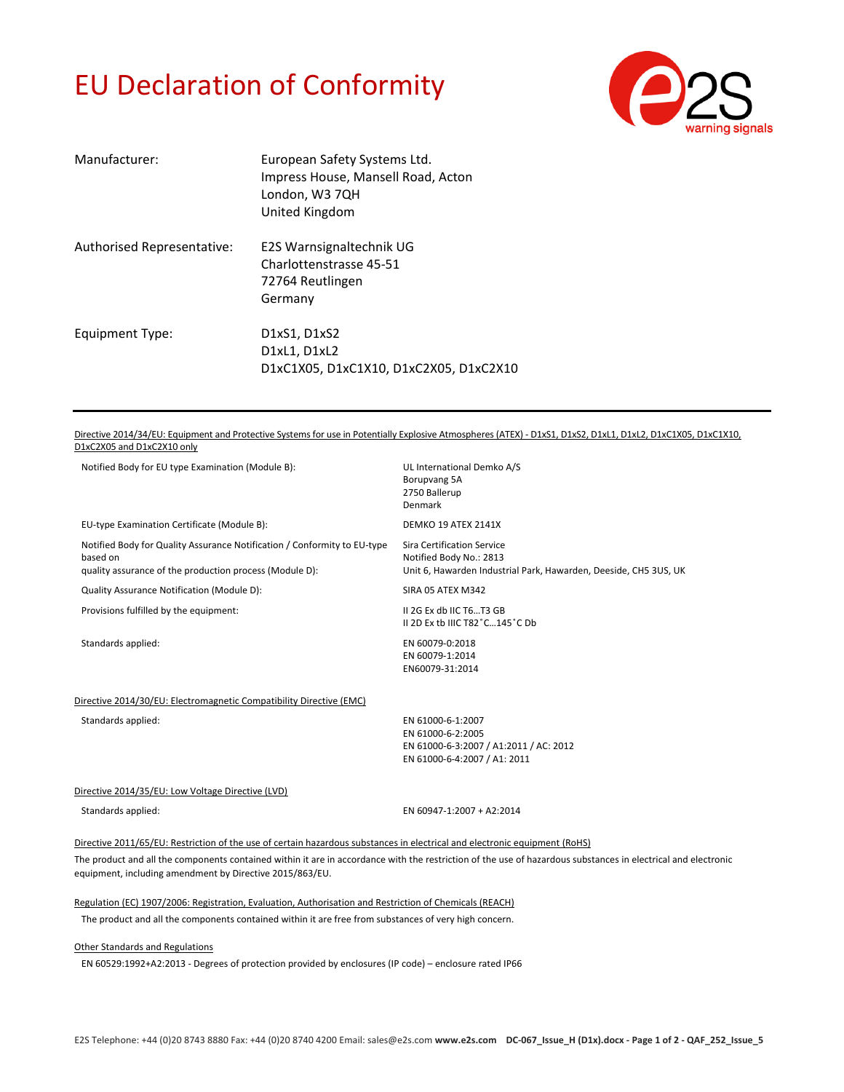#### EU Declaration of Conformity



| Manufacturer:              | European Safety Systems Ltd.<br>Impress House, Mansell Road, Acton<br>London, W3 7QH<br>United Kingdom |
|----------------------------|--------------------------------------------------------------------------------------------------------|
| Authorised Representative: | E2S Warnsignaltechnik UG<br>Charlottenstrasse 45-51<br>72764 Reutlingen<br>Germany                     |
| Equipment Type:            | D1xS1, D1xS2<br>D1xL1, D1xL2<br>D1xC1X05, D1xC1X10, D1xC2X05, D1xC2X10                                 |

Directive 2014/34/EU: Equipment and Protective Systems for use in Potentially Explosive Atmospheres (ATEX) - D1xS1, D1xS2, D1xL1, D1xL2, D1xC1X05, D1xC1X10, D1xC2X05 and D1xC2X10 only

| Notified Body for EU type Examination (Module B):                                                                                               | UL International Demko A/S<br>Borupvang 5A<br>2750 Ballerup<br>Denmark                                                    |
|-------------------------------------------------------------------------------------------------------------------------------------------------|---------------------------------------------------------------------------------------------------------------------------|
| EU-type Examination Certificate (Module B):                                                                                                     | DEMKO 19 ATEX 2141X                                                                                                       |
| Notified Body for Quality Assurance Notification / Conformity to EU-type<br>based on<br>quality assurance of the production process (Module D): | Sira Certification Service<br>Notified Body No.: 2813<br>Unit 6, Hawarden Industrial Park, Hawarden, Deeside, CH5 3US, UK |
| Quality Assurance Notification (Module D):                                                                                                      | SIRA 05 ATEX M342                                                                                                         |
| Provisions fulfilled by the equipment:                                                                                                          | II 2G Ex db IIC T6T3 GB<br>II 2D Ex tb IIIC T82°C145°C Db                                                                 |
| Standards applied:                                                                                                                              | EN 60079-0:2018<br>EN 60079-1:2014<br>EN60079-31:2014                                                                     |
| Directive 2014/30/EU: Electromagnetic Compatibility Directive (EMC)                                                                             |                                                                                                                           |
| Standards applied:                                                                                                                              | EN 61000-6-1:2007<br>EN 61000-6-2:2005<br>EN 61000-6-3:2007 / A1:2011 / AC: 2012<br>EN 61000-6-4:2007 / A1: 2011          |
| Directive 2014/35/EU: Low Voltage Directive (LVD)                                                                                               |                                                                                                                           |
| Standards applied:                                                                                                                              | EN 60947-1:2007 + A2:2014                                                                                                 |
|                                                                                                                                                 |                                                                                                                           |

Directive 2011/65/EU: Restriction of the use of certain hazardous substances in electrical and electronic equipment (RoHS)

The product and all the components contained within it are in accordance with the restriction of the use of hazardous substances in electrical and electronic equipment, including amendment by Directive 2015/863/EU.

Regulation (EC) 1907/2006: Registration, Evaluation, Authorisation and Restriction of Chemicals (REACH)

The product and all the components contained within it are free from substances of very high concern.

#### Other Standards and Regulations

EN 60529:1992+A2:2013 ‐ Degrees of protection provided by enclosures (IP code) – enclosure rated IP66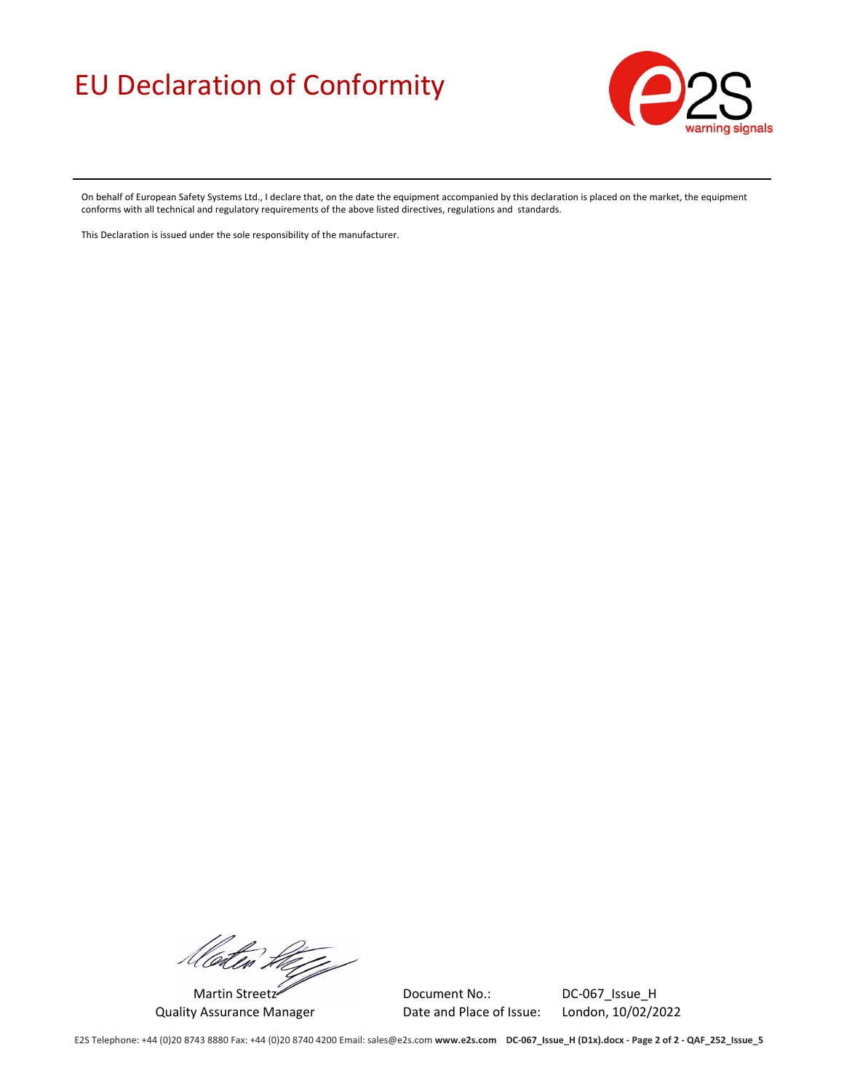### EU Declaration of Conformity



On behalf of European Safety Systems Ltd., I declare that, on the date the equipment accompanied by this declaration is placed on the market, the equipment conforms with all technical and regulatory requirements of the above listed directives, regulations and standards.

This Declaration is issued under the sole responsibility of the manufacturer.

floter they

Martin Streetz Document No.: Document No.: DC-067\_Issue\_H Quality Assurance Manager Date and Place of Issue: London, 10/02/2022

E2S Telephone: +44 (0)20 8743 8880 Fax: +44 (0)20 8740 4200 Email: sales@e2s.com www.e2s.com DC-067\_Issue\_H (D1x).docx - Page 2 of 2 - QAF\_252\_Issue\_5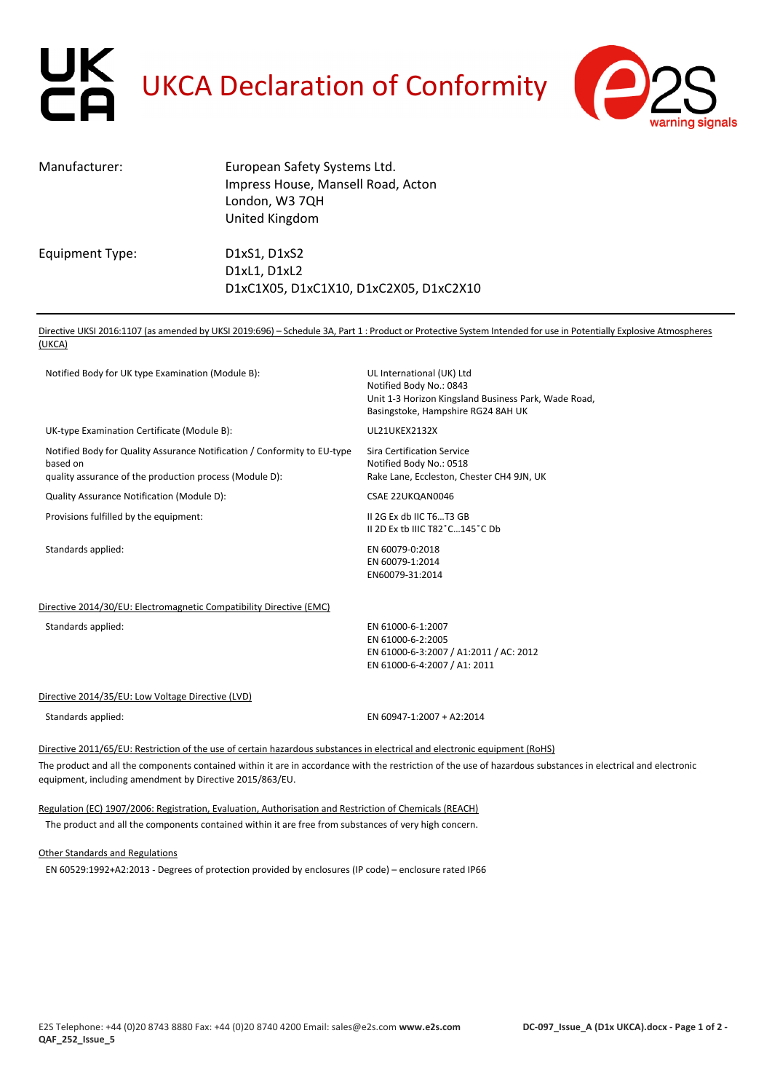# UK<br>CA UKCA Declaration of Conformity



| Manufacturer:   | European Safety Systems Ltd.<br>Impress House, Mansell Road, Acton<br>London, W3 7QH<br>United Kingdom |
|-----------------|--------------------------------------------------------------------------------------------------------|
| Equipment Type: | D1xS1, D1xS2<br>D1xL1, D1xL2<br>D1xC1X05, D1xC1X10, D1xC2X05, D1xC2X10                                 |

Directive UKSI 2016:1107 (as amended by UKSI 2019:696) – Schedule 3A, Part 1 : Product or Protective System Intended for use in Potentially Explosive Atmospheres (UKCA)

| Notified Body for UK type Examination (Module B):                                                                                               | UL International (UK) Ltd<br>Notified Body No.: 0843<br>Unit 1-3 Horizon Kingsland Business Park, Wade Road,<br>Basingstoke, Hampshire RG24 8AH UK |  |
|-------------------------------------------------------------------------------------------------------------------------------------------------|----------------------------------------------------------------------------------------------------------------------------------------------------|--|
| UK-type Examination Certificate (Module B):                                                                                                     | UL21UKEX2132X                                                                                                                                      |  |
| Notified Body for Quality Assurance Notification / Conformity to EU-type<br>based on<br>quality assurance of the production process (Module D): | <b>Sira Certification Service</b><br>Notified Body No.: 0518<br>Rake Lane, Eccleston, Chester CH4 9JN, UK                                          |  |
| Quality Assurance Notification (Module D):                                                                                                      | CSAE 22UKQAN0046                                                                                                                                   |  |
| Provisions fulfilled by the equipment:                                                                                                          | II 2G Ex db IIC T6T3 GB<br>II 2D Ex tb IIIC T82°C145°C Db                                                                                          |  |
| Standards applied:                                                                                                                              | EN 60079-0:2018<br>EN 60079-1:2014<br>EN60079-31:2014                                                                                              |  |
| Directive 2014/30/EU: Electromagnetic Compatibility Directive (EMC)                                                                             |                                                                                                                                                    |  |
| Standards applied:                                                                                                                              | EN 61000-6-1:2007<br>EN 61000-6-2:2005<br>EN 61000-6-3:2007 / A1:2011 / AC: 2012<br>EN 61000-6-4:2007 / A1: 2011                                   |  |
| Directive 2014/35/EU: Low Voltage Directive (LVD)                                                                                               |                                                                                                                                                    |  |
| Standards applied:                                                                                                                              | EN 60947-1:2007 + A2:2014                                                                                                                          |  |
| Directive 2011/65/EU: Restriction of the use of certain hazardous substances in electrical and electronic equipment (RoHS)                      |                                                                                                                                                    |  |
|                                                                                                                                                 |                                                                                                                                                    |  |

The product and all the components contained within it are in accordance with the restriction of the use of hazardous substances in electrical and electronic equipment, including amendment by Directive 2015/863/EU.

Regulation (EC) 1907/2006: Registration, Evaluation, Authorisation and Restriction of Chemicals (REACH)

The product and all the components contained within it are free from substances of very high concern.

Other Standards and Regulations

EN 60529:1992+A2:2013 ‐ Degrees of protection provided by enclosures (IP code) – enclosure rated IP66